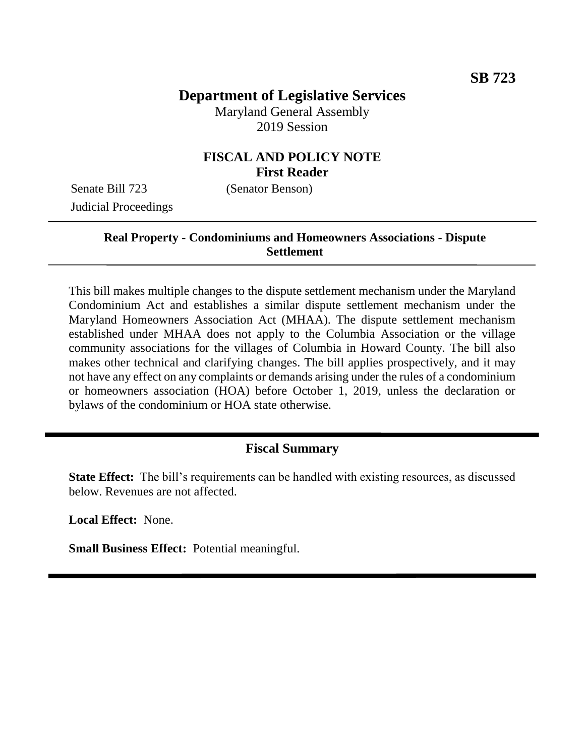# **Department of Legislative Services**

Maryland General Assembly 2019 Session

# **FISCAL AND POLICY NOTE First Reader**

Senate Bill 723 (Senator Benson) Judicial Proceedings

## **Real Property - Condominiums and Homeowners Associations - Dispute Settlement**

This bill makes multiple changes to the dispute settlement mechanism under the Maryland Condominium Act and establishes a similar dispute settlement mechanism under the Maryland Homeowners Association Act (MHAA). The dispute settlement mechanism established under MHAA does not apply to the Columbia Association or the village community associations for the villages of Columbia in Howard County. The bill also makes other technical and clarifying changes. The bill applies prospectively, and it may not have any effect on any complaints or demands arising under the rules of a condominium or homeowners association (HOA) before October 1, 2019, unless the declaration or bylaws of the condominium or HOA state otherwise.

## **Fiscal Summary**

**State Effect:** The bill's requirements can be handled with existing resources, as discussed below. Revenues are not affected.

**Local Effect:** None.

**Small Business Effect:** Potential meaningful.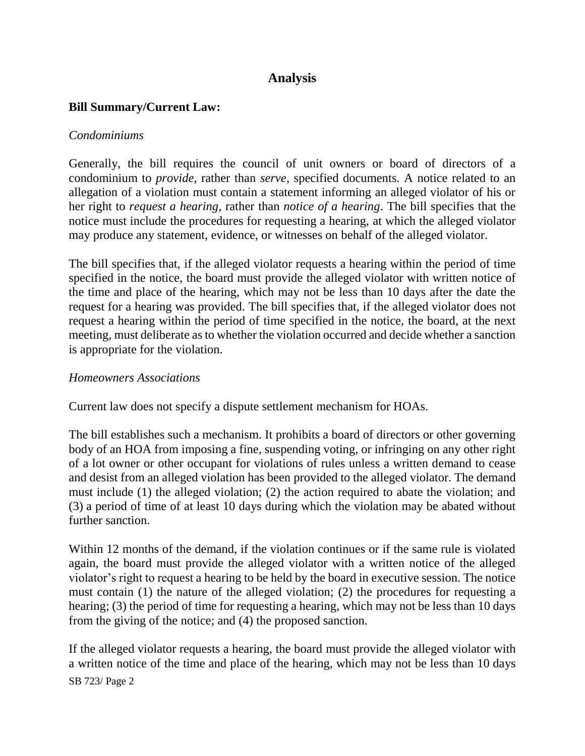# **Analysis**

## **Bill Summary/Current Law:**

#### *Condominiums*

Generally, the bill requires the council of unit owners or board of directors of a condominium to *provide*, rather than *serve*, specified documents. A notice related to an allegation of a violation must contain a statement informing an alleged violator of his or her right to *request a hearing*, rather than *notice of a hearing*. The bill specifies that the notice must include the procedures for requesting a hearing, at which the alleged violator may produce any statement, evidence, or witnesses on behalf of the alleged violator.

The bill specifies that, if the alleged violator requests a hearing within the period of time specified in the notice, the board must provide the alleged violator with written notice of the time and place of the hearing, which may not be less than 10 days after the date the request for a hearing was provided. The bill specifies that, if the alleged violator does not request a hearing within the period of time specified in the notice, the board, at the next meeting, must deliberate as to whether the violation occurred and decide whether a sanction is appropriate for the violation.

#### *Homeowners Associations*

Current law does not specify a dispute settlement mechanism for HOAs.

The bill establishes such a mechanism. It prohibits a board of directors or other governing body of an HOA from imposing a fine, suspending voting, or infringing on any other right of a lot owner or other occupant for violations of rules unless a written demand to cease and desist from an alleged violation has been provided to the alleged violator. The demand must include (1) the alleged violation; (2) the action required to abate the violation; and (3) a period of time of at least 10 days during which the violation may be abated without further sanction.

Within 12 months of the demand, if the violation continues or if the same rule is violated again, the board must provide the alleged violator with a written notice of the alleged violator's right to request a hearing to be held by the board in executive session. The notice must contain (1) the nature of the alleged violation; (2) the procedures for requesting a hearing; (3) the period of time for requesting a hearing, which may not be less than 10 days from the giving of the notice; and (4) the proposed sanction.

SB 723/ Page 2 If the alleged violator requests a hearing, the board must provide the alleged violator with a written notice of the time and place of the hearing, which may not be less than 10 days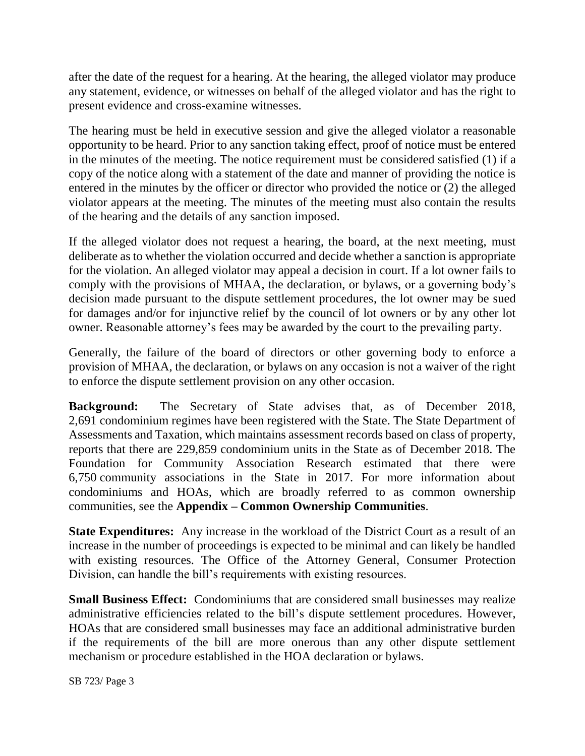after the date of the request for a hearing. At the hearing, the alleged violator may produce any statement, evidence, or witnesses on behalf of the alleged violator and has the right to present evidence and cross-examine witnesses.

The hearing must be held in executive session and give the alleged violator a reasonable opportunity to be heard. Prior to any sanction taking effect, proof of notice must be entered in the minutes of the meeting. The notice requirement must be considered satisfied (1) if a copy of the notice along with a statement of the date and manner of providing the notice is entered in the minutes by the officer or director who provided the notice or (2) the alleged violator appears at the meeting. The minutes of the meeting must also contain the results of the hearing and the details of any sanction imposed.

If the alleged violator does not request a hearing, the board, at the next meeting, must deliberate as to whether the violation occurred and decide whether a sanction is appropriate for the violation. An alleged violator may appeal a decision in court. If a lot owner fails to comply with the provisions of MHAA, the declaration, or bylaws, or a governing body's decision made pursuant to the dispute settlement procedures, the lot owner may be sued for damages and/or for injunctive relief by the council of lot owners or by any other lot owner. Reasonable attorney's fees may be awarded by the court to the prevailing party.

Generally, the failure of the board of directors or other governing body to enforce a provision of MHAA, the declaration, or bylaws on any occasion is not a waiver of the right to enforce the dispute settlement provision on any other occasion.

**Background:** The Secretary of State advises that, as of December 2018, 2,691 condominium regimes have been registered with the State. The State Department of Assessments and Taxation, which maintains assessment records based on class of property, reports that there are 229,859 condominium units in the State as of December 2018. The Foundation for Community Association Research estimated that there were 6,750 community associations in the State in 2017. For more information about condominiums and HOAs, which are broadly referred to as common ownership communities, see the **Appendix – Common Ownership Communities**.

**State Expenditures:** Any increase in the workload of the District Court as a result of an increase in the number of proceedings is expected to be minimal and can likely be handled with existing resources. The Office of the Attorney General, Consumer Protection Division, can handle the bill's requirements with existing resources.

**Small Business Effect:** Condominiums that are considered small businesses may realize administrative efficiencies related to the bill's dispute settlement procedures. However, HOAs that are considered small businesses may face an additional administrative burden if the requirements of the bill are more onerous than any other dispute settlement mechanism or procedure established in the HOA declaration or bylaws.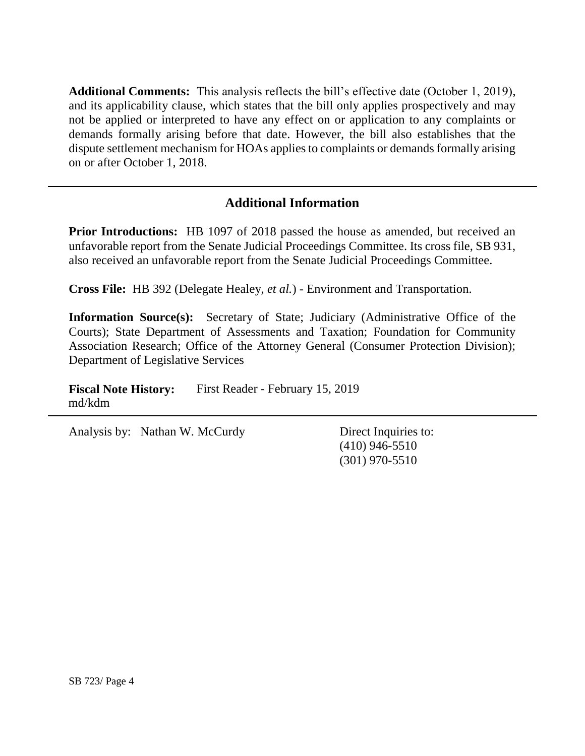**Additional Comments:** This analysis reflects the bill's effective date (October 1, 2019), and its applicability clause, which states that the bill only applies prospectively and may not be applied or interpreted to have any effect on or application to any complaints or demands formally arising before that date. However, the bill also establishes that the dispute settlement mechanism for HOAs applies to complaints or demands formally arising on or after October 1, 2018.

# **Additional Information**

**Prior Introductions:** HB 1097 of 2018 passed the house as amended, but received an unfavorable report from the Senate Judicial Proceedings Committee. Its cross file, SB 931, also received an unfavorable report from the Senate Judicial Proceedings Committee.

**Cross File:** HB 392 (Delegate Healey, *et al.*) - Environment and Transportation.

**Information Source(s):** Secretary of State; Judiciary (Administrative Office of the Courts); State Department of Assessments and Taxation; Foundation for Community Association Research; Office of the Attorney General (Consumer Protection Division); Department of Legislative Services

Fiscal Note History: First Reader - February 15, 2019 md/kdm

Analysis by: Nathan W. McCurdy Direct Inquiries to:

(410) 946-5510 (301) 970-5510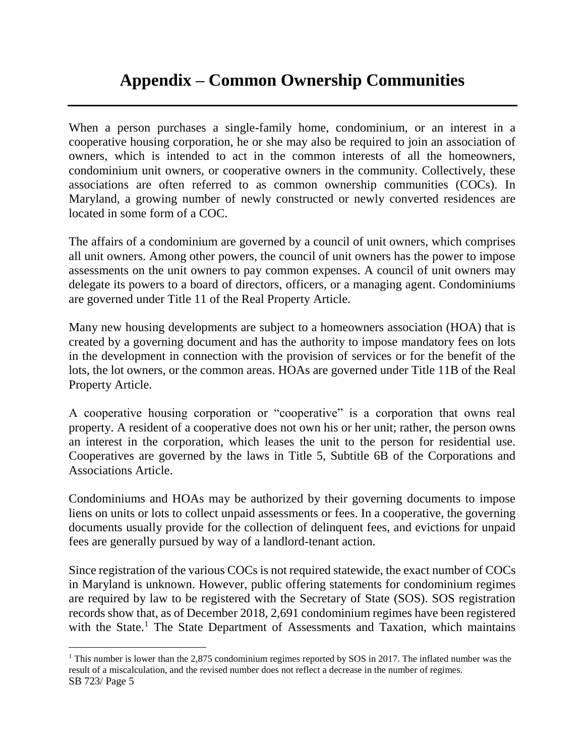# **Appendix – Common Ownership Communities**

When a person purchases a single-family home, condominium, or an interest in a cooperative housing corporation, he or she may also be required to join an association of owners, which is intended to act in the common interests of all the homeowners, condominium unit owners, or cooperative owners in the community. Collectively, these associations are often referred to as common ownership communities (COCs). In Maryland, a growing number of newly constructed or newly converted residences are located in some form of a COC.

The affairs of a condominium are governed by a council of unit owners, which comprises all unit owners. Among other powers, the council of unit owners has the power to impose assessments on the unit owners to pay common expenses. A council of unit owners may delegate its powers to a board of directors, officers, or a managing agent. Condominiums are governed under Title 11 of the Real Property Article.

Many new housing developments are subject to a homeowners association (HOA) that is created by a governing document and has the authority to impose mandatory fees on lots in the development in connection with the provision of services or for the benefit of the lots, the lot owners, or the common areas. HOAs are governed under Title 11B of the Real Property Article.

A cooperative housing corporation or "cooperative" is a corporation that owns real property. A resident of a cooperative does not own his or her unit; rather, the person owns an interest in the corporation, which leases the unit to the person for residential use. Cooperatives are governed by the laws in Title 5, Subtitle 6B of the Corporations and Associations Article.

Condominiums and HOAs may be authorized by their governing documents to impose liens on units or lots to collect unpaid assessments or fees. In a cooperative, the governing documents usually provide for the collection of delinquent fees, and evictions for unpaid fees are generally pursued by way of a landlord-tenant action.

Since registration of the various COCs is not required statewide, the exact number of COCs in Maryland is unknown. However, public offering statements for condominium regimes are required by law to be registered with the Secretary of State (SOS). SOS registration records show that, as of December 2018, 2,691 condominium regimes have been registered with the State.<sup>1</sup> The State Department of Assessments and Taxation, which maintains

SB 723/ Page 5 <sup>1</sup> This number is lower than the 2,875 condominium regimes reported by SOS in 2017. The inflated number was the result of a miscalculation, and the revised number does not reflect a decrease in the number of regimes.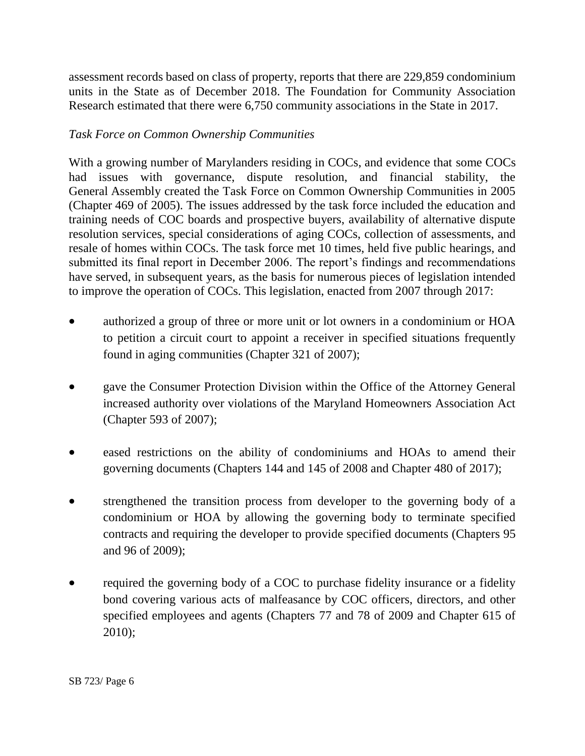assessment records based on class of property, reports that there are 229,859 condominium units in the State as of December 2018. The Foundation for Community Association Research estimated that there were 6,750 community associations in the State in 2017.

## *Task Force on Common Ownership Communities*

With a growing number of Marylanders residing in COCs, and evidence that some COCs had issues with governance, dispute resolution, and financial stability, the General Assembly created the Task Force on Common Ownership Communities in 2005 (Chapter 469 of 2005). The issues addressed by the task force included the education and training needs of COC boards and prospective buyers, availability of alternative dispute resolution services, special considerations of aging COCs, collection of assessments, and resale of homes within COCs. The task force met 10 times, held five public hearings, and submitted its final report in December 2006. The report's findings and recommendations have served, in subsequent years, as the basis for numerous pieces of legislation intended to improve the operation of COCs. This legislation, enacted from 2007 through 2017:

- authorized a group of three or more unit or lot owners in a condominium or HOA to petition a circuit court to appoint a receiver in specified situations frequently found in aging communities (Chapter 321 of 2007);
- gave the Consumer Protection Division within the Office of the Attorney General increased authority over violations of the Maryland Homeowners Association Act (Chapter 593 of 2007);
- eased restrictions on the ability of condominiums and HOAs to amend their governing documents (Chapters 144 and 145 of 2008 and Chapter 480 of 2017);
- strengthened the transition process from developer to the governing body of a condominium or HOA by allowing the governing body to terminate specified contracts and requiring the developer to provide specified documents (Chapters 95 and 96 of 2009);
- required the governing body of a COC to purchase fidelity insurance or a fidelity bond covering various acts of malfeasance by COC officers, directors, and other specified employees and agents (Chapters 77 and 78 of 2009 and Chapter 615 of 2010);